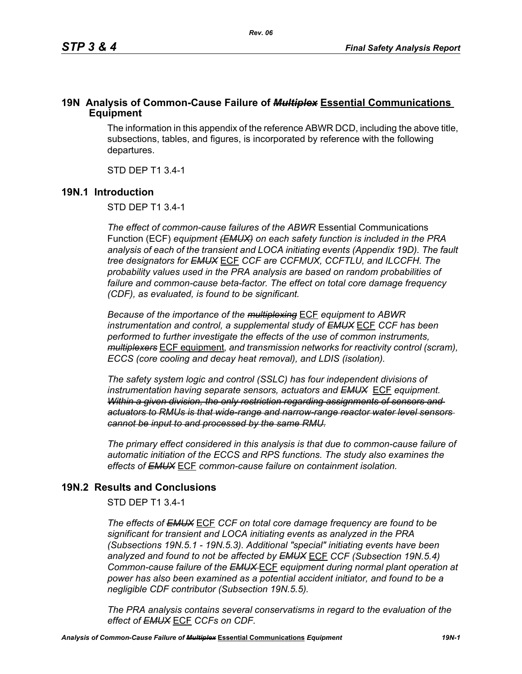### **19N Analysis of Common-Cause Failure of** *Multiplex* **Essential Communications Equipment**

The information in this appendix of the reference ABWR DCD, including the above title, subsections, tables, and figures, is incorporated by reference with the following departures.

STD DEP T1 3.4-1

### **19N.1 Introduction**

STD DEP T1 3.4-1

*The effect of common-cause failures of the ABWR* Essential Communications Function (ECF) *equipment (EMUX) on each safety function is included in the PRA analysis of each of the transient and LOCA initiating events (Appendix 19D). The fault tree designators for EMUX* ECF *CCF are CCFMUX, CCFTLU, and ILCCFH. The probability values used in the PRA analysis are based on random probabilities of failure and common-cause beta-factor. The effect on total core damage frequency (CDF), as evaluated, is found to be significant.* 

*Because of the importance of the multiplexing* ECF *equipment to ABWR instrumentation and control, a supplemental study of EMUX* ECF *CCF has been performed to further investigate the effects of the use of common instruments, multiplexers* ECF equipment*, and transmission networks for reactivity control (scram), ECCS (core cooling and decay heat removal), and LDIS (isolation).* 

*The safety system logic and control (SSLC) has four independent divisions of instrumentation having separate sensors, actuators and EMUX* ECF *equipment. Within a given division, the only restriction regarding assignments of sensors and actuators to RMUs is that wide-range and narrow-range reactor water level sensors cannot be input to and processed by the same RMU.*

*The primary effect considered in this analysis is that due to common-cause failure of automatic initiation of the ECCS and RPS functions. The study also examines the effects of EMUX* ECF *common-cause failure on containment isolation.* 

# **19N.2 Results and Conclusions**

STD DEP T1 3.4-1

*The effects of EMUX* ECF *CCF on total core damage frequency are found to be significant for transient and LOCA initiating events as analyzed in the PRA (Subsections 19N.5.1 - 19N.5.3). Additional "special" initiating events have been analyzed and found to not be affected by EMUX* ECF *CCF (Subsection 19N.5.4) Common-cause failure of the EMUX* ECF *equipment during normal plant operation at power has also been examined as a potential accident initiator, and found to be a negligible CDF contributor (Subsection 19N.5.5).* 

*The PRA analysis contains several conservatisms in regard to the evaluation of the effect of EMUX* ECF *CCFs on CDF.*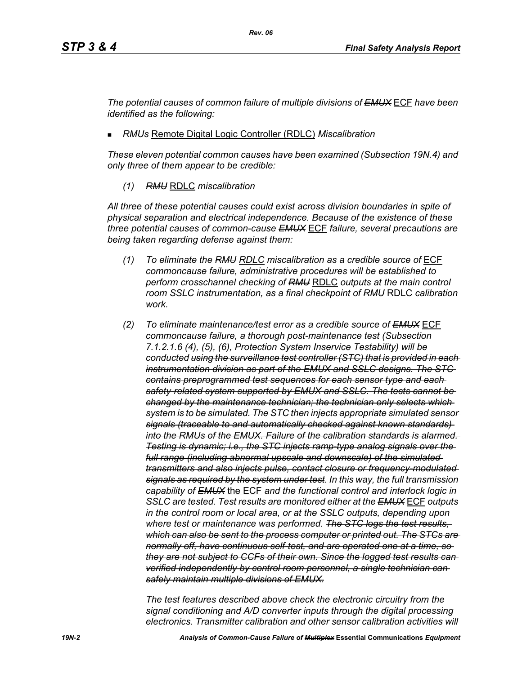*The potential causes of common failure of multiple divisions of EMUX* ECF *have been identified as the following:*

*RMUs* Remote Digital Logic Controller (RDLC) *Miscalibration*

*These eleven potential common causes have been examined (Subsection 19N.4) and only three of them appear to be credible:*

*(1) RMU* RDLC *miscalibration*

*All three of these potential causes could exist across division boundaries in spite of physical separation and electrical independence. Because of the existence of these three potential causes of common-cause EMUX* ECF *failure, several precautions are being taken regarding defense against them:*

- *(1) To eliminate the RMU RDLC miscalibration as a credible source of* ECF *commoncause failure, administrative procedures will be established to perform crosschannel checking of RMU* RDLC *outputs at the main control room SSLC instrumentation, as a final checkpoint of RMU* RDLC *calibration work.*
- *(2) To eliminate maintenance/test error as a credible source of EMUX* ECF *commoncause failure, a thorough post-maintenance test (Subsection 7.1.2.1.6 (4), (5), (6), Protection System Inservice Testability) will be conducted using the surveillance test controller (STC) that is provided in each instrumentation division as part of the EMUX and SSLC designs. The STC contains preprogrammed test sequences for each sensor type and each safety-related system supported by EMUX and SSLC. The tests cannot be changed by the maintenance technician; the technician only selects which system is to be simulated. The STC then injects appropriate simulated sensor signals (traceable to and automatically checked against known standards) into the RMUs of the EMUX. Failure of the calibration standards is alarmed. Testing is dynamic; i.e., the STC injects ramp-type analog signals over the full range (including abnormal upscale and downscale) of the simulated transmitters and also injects pulse, contact closure or frequency-modulated signals as required by the system under test. In this way, the full transmission capability of EMUX* the ECF *and the functional control and interlock logic in SSLC are tested. Test results are monitored either at the EMUX* ECF *outputs in the control room or local area, or at the SSLC outputs, depending upon where test or maintenance was performed. The STC logs the test results, which can also be sent to the process computer or printed out. The STCs are normally off, have continuous self-test, and are operated one at a time, so they are not subject to CCFs of their own. Since the logged test results can verified independently by control room personnel, a single technician can safely maintain multiple divisions of EMUX.*

*The test features described above check the electronic circuitry from the signal conditioning and A/D converter inputs through the digital processing electronics. Transmitter calibration and other sensor calibration activities will*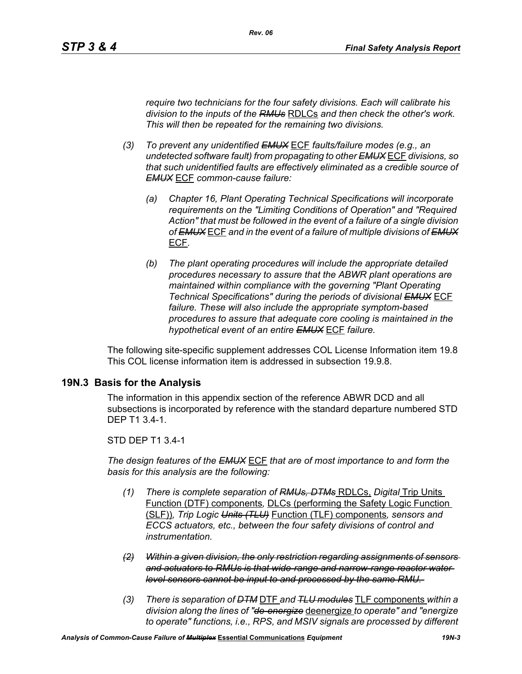*require two technicians for the four safety divisions. Each will calibrate his division to the inputs of the RMUs* RDLCs *and then check the other's work. This will then be repeated for the remaining two divisions.*

- *(3) To prevent any unidentified EMUX* ECF *faults/failure modes (e.g., an undetected software fault) from propagating to other EMUX* ECF *divisions, so that such unidentified faults are effectively eliminated as a credible source of EMUX* ECF *common-cause failure:* 
	- *(a) Chapter 16, Plant Operating Technical Specifications will incorporate requirements on the "Limiting Conditions of Operation" and "Required Action" that must be followed in the event of a failure of a single division of EMUX* ECF *and in the event of a failure of multiple divisions of EMUX* ECF*.*
	- *(b) The plant operating procedures will include the appropriate detailed procedures necessary to assure that the ABWR plant operations are maintained within compliance with the governing "Plant Operating Technical Specifications" during the periods of divisional EMUX* ECF *failure. These will also include the appropriate symptom-based procedures to assure that adequate core cooling is maintained in the hypothetical event of an entire EMUX* ECF *failure.*

The following site-specific supplement addresses COL License Information item 19.8 This COL license information item is addressed in subsection 19.9.8.

### **19N.3 Basis for the Analysis**

The information in this appendix section of the reference ABWR DCD and all subsections is incorporated by reference with the standard departure numbered STD DEP T1 3.4-1.

### STD DEP T1 3.4-1

*The design features of the EMUX* ECF *that are of most importance to and form the basis for this analysis are the following:*

- *(1) There is complete separation of RMUs, DTMs* RDLCs, *Digital* Trip Units Function (DTF) components*,* DLCs (performing the Safety Logic Function (SLF))*, Trip Logic Units (TLU)* Function (TLF) components*, sensors and ECCS actuators, etc., between the four safety divisions of control and instrumentation.*
- *(2) Within a given division, the only restriction regarding assignments of sensors and actuators to RMUs is that wide-range and narrow-range reactor water level sensors cannot be input to and processed by the same RMU.*
- *(3) There is separation of DTM* DTF *and TLU modules* TLF components *within a division along the lines of "de-energize* deenergize *to operate" and "energize to operate" functions, i.e., RPS, and MSIV signals are processed by different*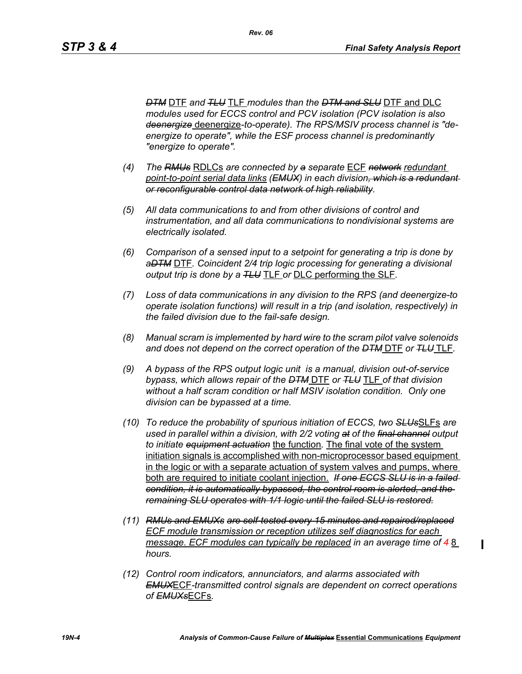*DTM* DTF *and TLU* TLF *modules than the DTM and SLU* DTF and DLC *modules used for ECCS control and PCV isolation (PCV isolation is also deenergize* deenergize*-to-operate). The RPS/MSIV process channel is "deenergize to operate", while the ESF process channel is predominantly "energize to operate".* 

- *(4) The RMUs* RDLCs *are connected by a separate* ECF *network redundant point-to-point serial data links (EMUX) in each division, which is a redundant or reconfigurable control data network of high reliability.*
- *(5) All data communications to and from other divisions of control and instrumentation, and all data communications to nondivisional systems are electrically isolated.*
- *(6) Comparison of a sensed input to a setpoint for generating a trip is done by aDTM* DTF*. Coincident 2/4 trip logic processing for generating a divisional output trip is done by a TLU* TLF *or* DLC performing the SLF*.*
- *(7) Loss of data communications in any division to the RPS (and deenergize-to operate isolation functions) will result in a trip (and isolation, respectively) in the failed division due to the fail-safe design.*
- *(8) Manual scram is implemented by hard wire to the scram pilot valve solenoids and does not depend on the correct operation of the DTM* DTF *or TLU* TLF*.*
- *(9) A bypass of the RPS output logic unit is a manual, division out-of-service bypass, which allows repair of the DTM* DTF *or TLU* TLF *of that division without a half scram condition or half MSIV isolation condition. Only one division can be bypassed at a time.*
- *(10) To reduce the probability of spurious initiation of ECCS, two SLUs*SLFs *are used in parallel within a division, with 2/2 voting at of the final channel output to initiate equipment actuation* the function*.* The final vote of the system initiation signals is accomplished with non-microprocessor based equipment in the logic or with a separate actuation of system valves and pumps, where both are required to initiate coolant injection. *If one ECCS SLU is in a failed condition, it is automatically bypassed, the control room is alerted, and the remaining SLU operates with 1/1 logic until the failed SLU is restored.*
- *(11) RMUs and EMUXs are self-tested every 15 minutes and repaired/replaced ECF module transmission or reception utilizes self diagnostics for each message. ECF modules can typically be replaced in an average time of 4* 8 *hours.*
- *(12) Control room indicators, annunciators, and alarms associated with EMUX*ECF*-transmitted control signals are dependent on correct operations of EMUXs*ECFs*.*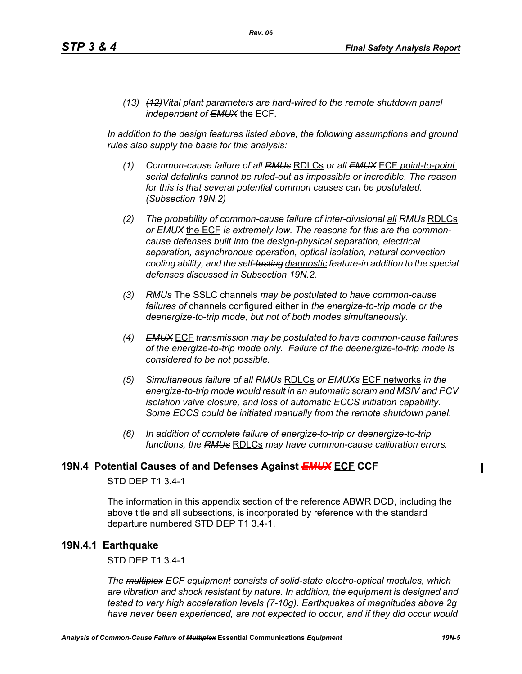*(13) (12)Vital plant parameters are hard-wired to the remote shutdown panel independent of EMUX* the ECF*.* 

In addition to the design features listed above, the following assumptions and ground *rules also supply the basis for this analysis:*

- *(1) Common-cause failure of all RMUs* RDLCs *or all EMUX* ECF *point-to-point serial datalinks cannot be ruled-out as impossible or incredible. The reason for this is that several potential common causes can be postulated. (Subsection 19N.2)*
- *(2) The probability of common-cause failure of inter-divisional all RMUs* RDLCs *or EMUX* the ECF *is extremely low. The reasons for this are the commoncause defenses built into the design-physical separation, electrical separation, asynchronous operation, optical isolation, natural convection cooling ability, and the self-testing diagnostic feature-in addition to the special defenses discussed in Subsection 19N.2.*
- *(3) RMUs* The SSLC channels *may be postulated to have common-cause failures of* channels configured either in *the energize-to-trip mode or the deenergize-to-trip mode, but not of both modes simultaneously.*
- *(4) EMUX* ECF *transmission may be postulated to have common-cause failures of the energize-to-trip mode only. Failure of the deenergize-to-trip mode is considered to be not possible.*
- *(5) Simultaneous failure of all RMUs* RDLCs *or EMUXs* ECF networks *in the energize-to-trip mode would result in an automatic scram and MSIV and PCV isolation valve closure, and loss of automatic ECCS initiation capability. Some ECCS could be initiated manually from the remote shutdown panel.*
- *(6) In addition of complete failure of energize-to-trip or deenergize-to-trip functions, the RMUs* RDLCs *may have common-cause calibration errors.*

### **19N.4 Potential Causes of and Defenses Against** *EMUX* **ECF CCF**

### STD DEP T1 3.4-1

The information in this appendix section of the reference ABWR DCD, including the above title and all subsections, is incorporated by reference with the standard departure numbered STD DEP T1 3.4-1.

### **19N.4.1 Earthquake**

STD DEP T1 3.4-1

*The multiplex ECF equipment consists of solid-state electro-optical modules, which are vibration and shock resistant by nature. In addition, the equipment is designed and tested to very high acceleration levels (7-10g). Earthquakes of magnitudes above 2g have never been experienced, are not expected to occur, and if they did occur would*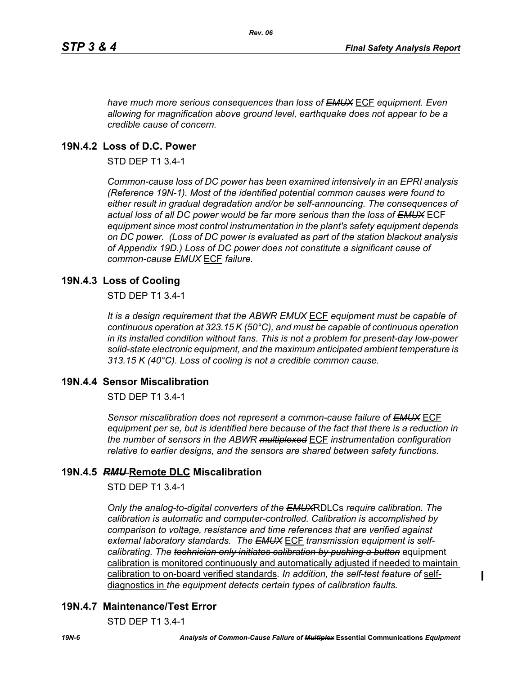*have much more serious consequences than loss of EMUX* ECF *equipment. Even allowing for magnification above ground level, earthquake does not appear to be a credible cause of concern.*

# **19N.4.2 Loss of D.C. Power**

STD DEP T1 3.4-1

*Common-cause loss of DC power has been examined intensively in an EPRI analysis (Reference 19N-1). Most of the identified potential common causes were found to either result in gradual degradation and/or be self-announcing. The consequences of actual loss of all DC power would be far more serious than the loss of EMUX* ECF *equipment since most control instrumentation in the plant's safety equipment depends on DC power. (Loss of DC power is evaluated as part of the station blackout analysis of Appendix 19D.) Loss of DC power does not constitute a significant cause of common-cause EMUX* ECF *failure.* 

# **19N.4.3 Loss of Cooling**

STD DEP T1 3.4-1

*It is a design requirement that the ABWR EMUX* ECF *equipment must be capable of continuous operation at 323.15 K (50°C), and must be capable of continuous operation in its installed condition without fans. This is not a problem for present-day low-power solid-state electronic equipment, and the maximum anticipated ambient temperature is 313.15 K (40°C). Loss of cooling is not a credible common cause.* 

# **19N.4.4 Sensor Miscalibration**

STD DEP T1 3.4-1

*Sensor miscalibration does not represent a common-cause failure of EMUX* ECF *equipment per se, but is identified here because of the fact that there is a reduction in the number of sensors in the ABWR multiplexed* ECF *instrumentation configuration relative to earlier designs, and the sensors are shared between safety functions.* 

# **19N.4.5** *RMU* **Remote DLC Miscalibration**

STD DEP T1 3.4-1

*Only the analog-to-digital converters of the EMUX*RDLCs *require calibration. The calibration is automatic and computer-controlled. Calibration is accomplished by comparison to voltage, resistance and time references that are verified against external laboratory standards. The EMUX* ECF *transmission equipment is selfcalibrating. The technician only initiates calibration by pushing a button equipment* calibration is monitored continuously and automatically adjusted if needed to maintain calibration to on-board verified standards*. In addition, the self-test feature of* selfdiagnostics in *the equipment detects certain types of calibration faults.* 

# **19N.4.7 Maintenance/Test Error**

STD DEP T1 3.4-1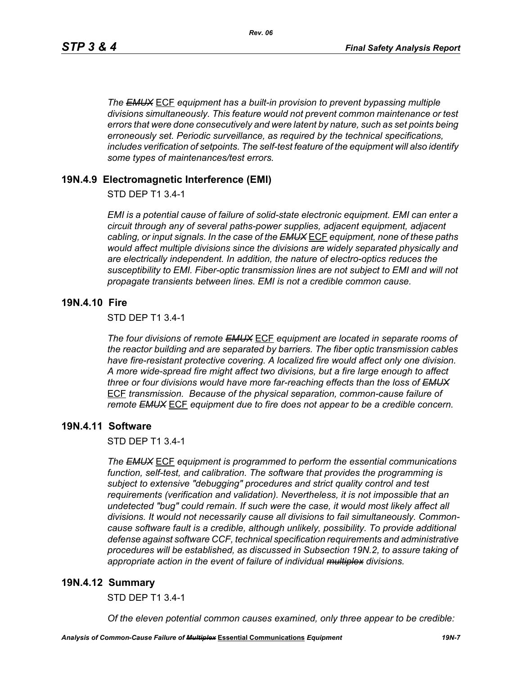*The EMUX* ECF *equipment has a built-in provision to prevent bypassing multiple divisions simultaneously. This feature would not prevent common maintenance or test errors that were done consecutively and were latent by nature, such as set points being erroneously set. Periodic surveillance, as required by the technical specifications, includes verification of setpoints. The self-test feature of the equipment will also identify some types of maintenances/test errors.* 

### **19N.4.9 Electromagnetic Interference (EMI)**

STD DEP T1 3.4-1

*EMI is a potential cause of failure of solid-state electronic equipment. EMI can enter a circuit through any of several paths-power supplies, adjacent equipment, adjacent cabling, or input signals. In the case of the EMUX* ECF *equipment, none of these paths would affect multiple divisions since the divisions are widely separated physically and are electrically independent. In addition, the nature of electro-optics reduces the susceptibility to EMI. Fiber-optic transmission lines are not subject to EMI and will not propagate transients between lines. EMI is not a credible common cause.* 

### **19N.4.10 Fire**

STD DEP T1 3.4-1

*The four divisions of remote EMUX* ECF *equipment are located in separate rooms of the reactor building and are separated by barriers. The fiber optic transmission cables have fire-resistant protective covering. A localized fire would affect only one division. A more wide-spread fire might affect two divisions, but a fire large enough to affect three or four divisions would have more far-reaching effects than the loss of EMUX* ECF *transmission. Because of the physical separation, common-cause failure of remote EMUX* ECF *equipment due to fire does not appear to be a credible concern.* 

#### **19N.4.11 Software**

STD DEP T1 3.4-1

*The EMUX* ECF *equipment is programmed to perform the essential communications function, self-test, and calibration. The software that provides the programming is subject to extensive "debugging" procedures and strict quality control and test requirements (verification and validation). Nevertheless, it is not impossible that an undetected "bug" could remain. If such were the case, it would most likely affect all divisions. It would not necessarily cause all divisions to fail simultaneously. Commoncause software fault is a credible, although unlikely, possibility. To provide additional defense against software CCF, technical specification requirements and administrative procedures will be established, as discussed in Subsection 19N.2, to assure taking of appropriate action in the event of failure of individual multiplex divisions.* 

#### **19N.4.12 Summary**

STD DEP T1 3.4-1

*Of the eleven potential common causes examined, only three appear to be credible:*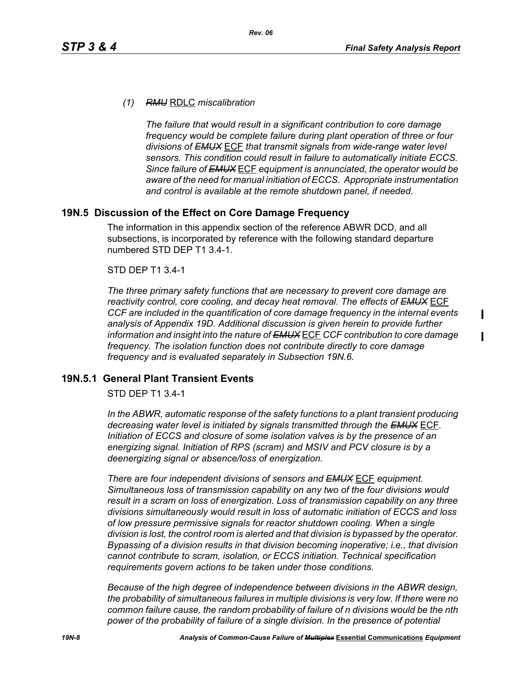$\mathbf I$ 

 $\blacksquare$ 

#### *(1) RMU* RDLC *miscalibration*

*The failure that would result in a significant contribution to core damage frequency would be complete failure during plant operation of three or four divisions of EMUX* ECF *that transmit signals from wide-range water level sensors. This condition could result in failure to automatically initiate ECCS. Since failure of EMUX* ECF *equipment is annunciated, the operator would be aware of the need for manual initiation of ECCS. Appropriate instrumentation and control is available at the remote shutdown panel, if needed.* 

### **19N.5 Discussion of the Effect on Core Damage Frequency**

The information in this appendix section of the reference ABWR DCD, and all subsections, is incorporated by reference with the following standard departure numbered STD DEP T1 3.4-1.

#### STD DEP T1 3.4-1

*The three primary safety functions that are necessary to prevent core damage are reactivity control, core cooling, and decay heat removal. The effects of EMUX* ECF *CCF are included in the quantification of core damage frequency in the internal events analysis of Appendix 19D. Additional discussion is given herein to provide further information and insight into the nature of EMUX* ECF *CCF contribution to core damage frequency. The isolation function does not contribute directly to core damage frequency and is evaluated separately in Subsection 19N.6.* 

#### **19N.5.1 General Plant Transient Events**

STD DEP T1 3.4-1

*In the ABWR, automatic response of the safety functions to a plant transient producing decreasing water level is initiated by signals transmitted through the EMUX* ECF*. Initiation of ECCS and closure of some isolation valves is by the presence of an energizing signal. Initiation of RPS (scram) and MSIV and PCV closure is by a deenergizing signal or absence/loss of energization.* 

*There are four independent divisions of sensors and EMUX* ECF *equipment. Simultaneous loss of transmission capability on any two of the four divisions would result in a scram on loss of energization. Loss of transmission capability on any three divisions simultaneously would result in loss of automatic initiation of ECCS and loss of low pressure permissive signals for reactor shutdown cooling. When a single division is lost, the control room is alerted and that division is bypassed by the operator. Bypassing of a division results in that division becoming inoperative; i.e., that division cannot contribute to scram, isolation, or ECCS initiation. Technical specification requirements govern actions to be taken under those conditions.* 

*Because of the high degree of independence between divisions in the ABWR design, the probability of simultaneous failures in multiple divisions is very low. If there were no common failure cause, the random probability of failure of n divisions would be the nth power of the probability of failure of a single division. In the presence of potential*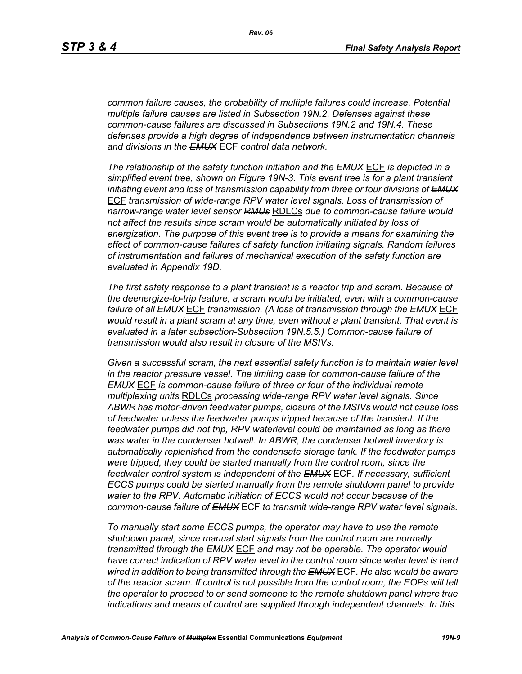*common failure causes, the probability of multiple failures could increase. Potential multiple failure causes are listed in Subsection 19N.2. Defenses against these common-cause failures are discussed in Subsections 19N.2 and 19N.4. These defenses provide a high degree of independence between instrumentation channels and divisions in the EMUX* ECF *control data network.* 

*The relationship of the safety function initiation and the EMUX* ECF *is depicted in a simplified event tree, shown on Figure 19N-3. This event tree is for a plant transient initiating event and loss of transmission capability from three or four divisions of EMUX* ECF *transmission of wide-range RPV water level signals. Loss of transmission of narrow-range water level sensor RMUs* RDLCs *due to common-cause failure would not affect the results since scram would be automatically initiated by loss of energization. The purpose of this event tree is to provide a means for examining the effect of common-cause failures of safety function initiating signals. Random failures of instrumentation and failures of mechanical execution of the safety function are evaluated in Appendix 19D.*

*The first safety response to a plant transient is a reactor trip and scram. Because of the deenergize-to-trip feature, a scram would be initiated, even with a common-cause failure of all EMUX* ECF *transmission. (A loss of transmission through the EMUX* ECF *would result in a plant scram at any time, even without a plant transient. That event is evaluated in a later subsection-Subsection 19N.5.5.) Common-cause failure of transmission would also result in closure of the MSIVs.* 

*Given a successful scram, the next essential safety function is to maintain water level in the reactor pressure vessel. The limiting case for common-cause failure of the EMUX* ECF *is common-cause failure of three or four of the individual remote multiplexing units* RDLCs *processing wide-range RPV water level signals. Since ABWR has motor-driven feedwater pumps, closure of the MSIVs would not cause loss of feedwater unless the feedwater pumps tripped because of the transient. If the feedwater pumps did not trip, RPV waterlevel could be maintained as long as there was water in the condenser hotwell. In ABWR, the condenser hotwell inventory is automatically replenished from the condensate storage tank. If the feedwater pumps were tripped, they could be started manually from the control room, since the feedwater control system is independent of the EMUX* ECF*. If necessary, sufficient ECCS pumps could be started manually from the remote shutdown panel to provide water to the RPV. Automatic initiation of ECCS would not occur because of the common-cause failure of EMUX* ECF *to transmit wide-range RPV water level signals.* 

*To manually start some ECCS pumps, the operator may have to use the remote shutdown panel, since manual start signals from the control room are normally transmitted through the EMUX* ECF *and may not be operable. The operator would have correct indication of RPV water level in the control room since water level is hard wired in addition to being transmitted through the EMUX* ECF*. He also would be aware of the reactor scram. If control is not possible from the control room, the EOPs will tell the operator to proceed to or send someone to the remote shutdown panel where true indications and means of control are supplied through independent channels. In this*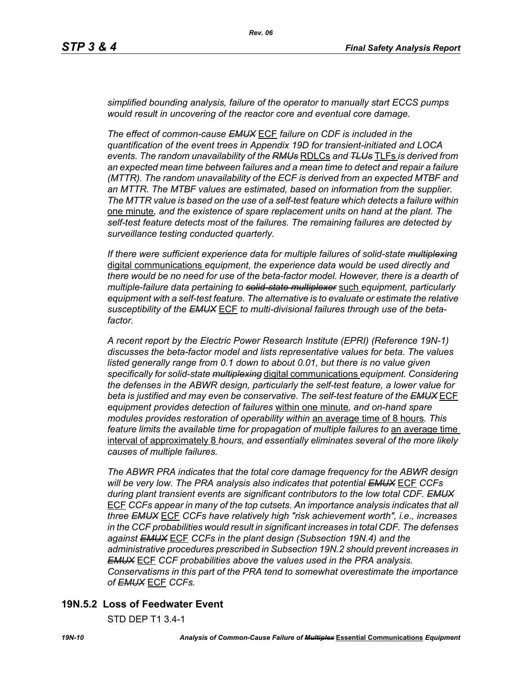*simplified bounding analysis, failure of the operator to manually start ECCS pumps would result in uncovering of the reactor core and eventual core damage.*

*The effect of common-cause EMUX* ECF *failure on CDF is included in the quantification of the event trees in Appendix 19D for transient-initiated and LOCA events. The random unavailability of the RMUs* RDLCs *and TLUs* TLFs *is derived from an expected mean time between failures and a mean time to detect and repair a failure (MTTR). The random unavailability of the ECF is derived from an expected MTBF and an MTTR. The MTBF values are estimated, based on information from the supplier. The MTTR value is based on the use of a self-test feature which detects a failure within*  one minute*, and the existence of spare replacement units on hand at the plant. The self-test feature detects most of the failures. The remaining failures are detected by surveillance testing conducted quarterly.* 

*If there were sufficient experience data for multiple failures of solid-state multiplexing* digital communications *equipment, the experience data would be used directly and there would be no need for use of the beta-factor model. However, there is a dearth of multiple-failure data pertaining to solid-state multiplexer* such *equipment, particularly equipment with a self-test feature. The alternative is to evaluate or estimate the relative susceptibility of the EMUX* ECF *to multi-divisional failures through use of the betafactor.* 

*A recent report by the Electric Power Research Institute (EPRI) (Reference 19N-1) discusses the beta-factor model and lists representative values for beta. The values*  listed generally range from 0.1 down to about 0.01, but there is no value given *specifically for solid-state multiplexing* digital communications *equipment. Considering the defenses in the ABWR design, particularly the self-test feature, a lower value for beta is justified and may even be conservative. The self-test feature of the EMUX* ECF *equipment provides detection of failures* within one minute*, and on-hand spare modules provides restoration of operability within* an average time of 8 hours*. This feature limits the available time for propagation of multiple failures to an average time* interval of approximately 8 *hours, and essentially eliminates several of the more likely causes of multiple failures.* 

*The ABWR PRA indicates that the total core damage frequency for the ABWR design will be very low. The PRA analysis also indicates that potential EMUX* ECF *CCFs during plant transient events are significant contributors to the low total CDF. EMUX* ECF *CCFs appear in many of the top cutsets. An importance analysis indicates that all three EMUX* ECF *CCFs have relatively high "risk achievement worth", i.e., increases in the CCF probabilities would result in significant increases in total CDF. The defenses against EMUX* ECF *CCFs in the plant design (Subsection 19N.4) and the administrative procedures prescribed in Subsection 19N.2 should prevent increases in EMUX* ECF *CCF probabilities above the values used in the PRA analysis. Conservatisms in this part of the PRA tend to somewhat overestimate the importance of EMUX* ECF *CCFs.* 

# **19N.5.2 Loss of Feedwater Event**

STD DEP T1 3.4-1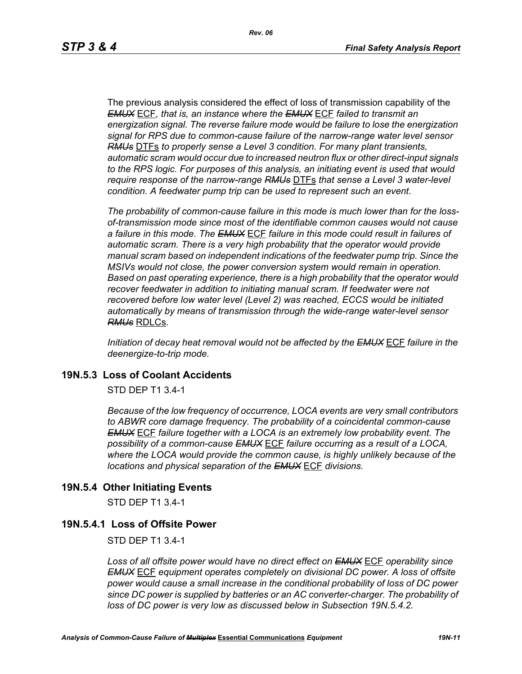The previous analysis considered the effect of loss of transmission capability of the *EMUX* ECF*, that is, an instance where the EMUX* ECF *failed to transmit an energization signal. The reverse failure mode would be failure to lose the energization signal for RPS due to common-cause failure of the narrow-range water level sensor RMUs* DTFs *to properly sense a Level 3 condition. For many plant transients, automatic scram would occur due to increased neutron flux or other direct-input signals to the RPS logic. For purposes of this analysis, an initiating event is used that would require response of the narrow-range RMUs* DTFs *that sense a Level 3 water-level condition. A feedwater pump trip can be used to represent such an event.*

*The probability of common-cause failure in this mode is much lower than for the lossof-transmission mode since most of the identifiable common causes would not cause a failure in this mode. The EMUX* ECF *failure in this mode could result in failures of automatic scram. There is a very high probability that the operator would provide manual scram based on independent indications of the feedwater pump trip. Since the MSIVs would not close, the power conversion system would remain in operation. Based on past operating experience, there is a high probability that the operator would recover feedwater in addition to initiating manual scram. If feedwater were not recovered before low water level (Level 2) was reached, ECCS would be initiated automatically by means of transmission through the wide-range water-level sensor RMUs* RDLCs.

*Initiation of decay heat removal would not be affected by the EMUX* ECF *failure in the deenergize-to-trip mode.*

### **19N.5.3 Loss of Coolant Accidents**

STD DEP T1 3.4-1

*Because of the low frequency of occurrence, LOCA events are very small contributors to ABWR core damage frequency. The probability of a coincidental common-cause EMUX* ECF *failure together with a LOCA is an extremely low probability event. The possibility of a common-cause EMUX* ECF *failure occurring as a result of a LOCA, where the LOCA would provide the common cause, is highly unlikely because of the locations and physical separation of the EMUX* ECF *divisions.* 

### **19N.5.4 Other Initiating Events**

STD DEP T1 3.4-1

#### **19N.5.4.1 Loss of Offsite Power**

STD DEP T1 3.4-1

*Loss of all offsite power would have no direct effect on EMUX* ECF *operability since EMUX* ECF *equipment operates completely on divisional DC power. A loss of offsite power would cause a small increase in the conditional probability of loss of DC power since DC power is supplied by batteries or an AC converter-charger. The probability of loss of DC power is very low as discussed below in Subsection 19N.5.4.2.*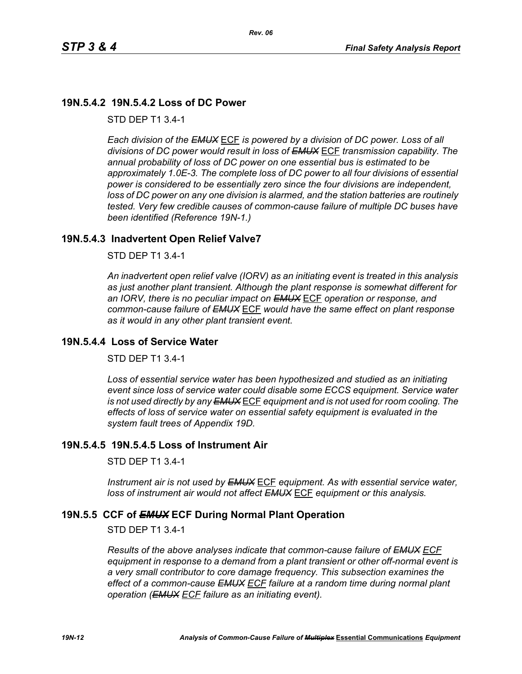# **19N.5.4.2 19N.5.4.2 Loss of DC Power**

STD DEP T1 3.4-1

*Each division of the EMUX* ECF *is powered by a division of DC power. Loss of all divisions of DC power would result in loss of EMUX* ECF *transmission capability. The annual probability of loss of DC power on one essential bus is estimated to be approximately 1.0E-3. The complete loss of DC power to all four divisions of essential power is considered to be essentially zero since the four divisions are independent, loss of DC power on any one division is alarmed, and the station batteries are routinely tested. Very few credible causes of common-cause failure of multiple DC buses have been identified (Reference 19N-1.)*

# **19N.5.4.3 Inadvertent Open Relief Valve7**

STD DEP T1 3.4-1

*An inadvertent open relief valve (IORV) as an initiating event is treated in this analysis as just another plant transient. Although the plant response is somewhat different for an IORV, there is no peculiar impact on EMUX* ECF *operation or response, and common-cause failure of EMUX* ECF *would have the same effect on plant response as it would in any other plant transient event.*

### **19N.5.4.4 Loss of Service Water**

STD DEP T1 3.4-1

Loss of essential service water has been hypothesized and studied as an initiating *event since loss of service water could disable some ECCS equipment. Service water is not used directly by any EMUX* ECF *equipment and is not used for room cooling. The effects of loss of service water on essential safety equipment is evaluated in the system fault trees of Appendix 19D.* 

# **19N.5.4.5 19N.5.4.5 Loss of Instrument Air**

STD DEP T1 3.4-1

*Instrument air is not used by EMUX* ECF *equipment. As with essential service water, loss of instrument air would not affect EMUX* ECF *equipment or this analysis.* 

# **19N.5.5 CCF of** *EMUX* **ECF During Normal Plant Operation**

STD DEP T1 3.4-1

*Results of the above analyses indicate that common-cause failure of EMUX ECF equipment in response to a demand from a plant transient or other off-normal event is a very small contributor to core damage frequency. This subsection examines the effect of a common-cause EMUX ECF failure at a random time during normal plant operation (EMUX ECF failure as an initiating event).*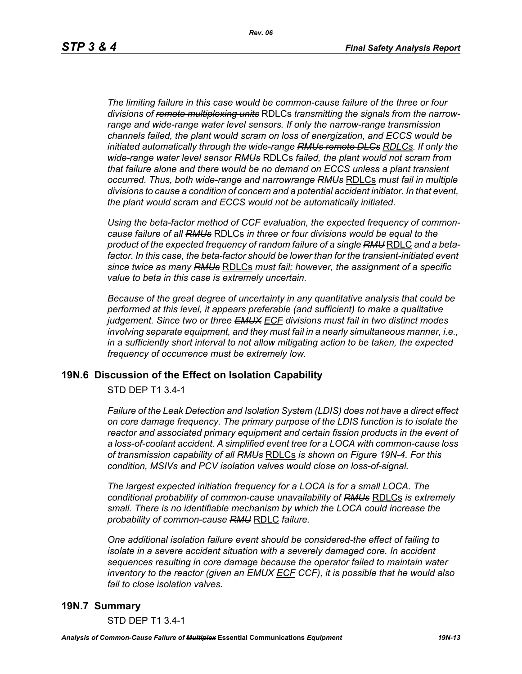*The limiting failure in this case would be common-cause failure of the three or four divisions of remote multiplexing units* RDLCs *transmitting the signals from the narrowrange and wide-range water level sensors. If only the narrow-range transmission channels failed, the plant would scram on loss of energization, and ECCS would be initiated automatically through the wide-range RMUs remote DLCs RDLCs. If only the wide-range water level sensor RMUs* RDLCs *failed, the plant would not scram from that failure alone and there would be no demand on ECCS unless a plant transient occurred. Thus, both wide-range and narrowrange RMUs* RDLCs *must fail in multiple divisions to cause a condition of concern and a potential accident initiator. In that event, the plant would scram and ECCS would not be automatically initiated.* 

*Using the beta-factor method of CCF evaluation, the expected frequency of commoncause failure of all RMUs* RDLCs *in three or four divisions would be equal to the product of the expected frequency of random failure of a single RMU* RDLC *and a beta*factor. In this case, the beta-factor should be lower than for the transient-initiated event *since twice as many RMUs* RDLCs *must fail; however, the assignment of a specific value to beta in this case is extremely uncertain.* 

*Because of the great degree of uncertainty in any quantitative analysis that could be performed at this level, it appears preferable (and sufficient) to make a qualitative judgement. Since two or three EMUX ECF divisions must fail in two distinct modes involving separate equipment, and they must fail in a nearly simultaneous manner, i.e., in a sufficiently short interval to not allow mitigating action to be taken, the expected frequency of occurrence must be extremely low.*

### **19N.6 Discussion of the Effect on Isolation Capability**

STD DEP T1 3.4-1

*Failure of the Leak Detection and Isolation System (LDIS) does not have a direct effect on core damage frequency. The primary purpose of the LDIS function is to isolate the*  reactor and associated primary equipment and certain fission products in the event of *a loss-of-coolant accident. A simplified event tree for a LOCA with common-cause loss of transmission capability of all RMUs* RDLCs *is shown on Figure 19N-4. For this condition, MSIVs and PCV isolation valves would close on loss-of-signal.* 

*The largest expected initiation frequency for a LOCA is for a small LOCA. The conditional probability of common-cause unavailability of RMUs* RDLCs *is extremely small. There is no identifiable mechanism by which the LOCA could increase the probability of common-cause RMU* RDLC *failure.*

*One additional isolation failure event should be considered-the effect of failing to isolate in a severe accident situation with a severely damaged core. In accident sequences resulting in core damage because the operator failed to maintain water inventory to the reactor (given an EMUX ECF CCF), it is possible that he would also fail to close isolation valves.*

#### **19N.7 Summary**

STD DEP T1 3.4-1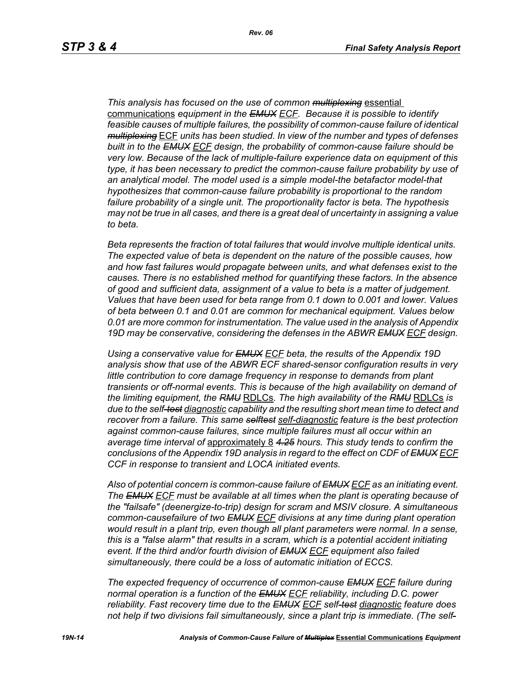*This analysis has focused on the use of common multiplexing* essential communications *equipment in the EMUX ECF. Because it is possible to identify feasible causes of multiple failures, the possibility of common-cause failure of identical multiplexing* ECF *units has been studied. In view of the number and types of defenses built in to the EMUX ECF design, the probability of common-cause failure should be very low. Because of the lack of multiple-failure experience data on equipment of this type, it has been necessary to predict the common-cause failure probability by use of an analytical model. The model used is a simple model-the betafactor model-that hypothesizes that common-cause failure probability is proportional to the random failure probability of a single unit. The proportionality factor is beta. The hypothesis may not be true in all cases, and there is a great deal of uncertainty in assigning a value to beta.* 

*Beta represents the fraction of total failures that would involve multiple identical units. The expected value of beta is dependent on the nature of the possible causes, how and how fast failures would propagate between units, and what defenses exist to the causes. There is no established method for quantifying these factors. In the absence of good and sufficient data, assignment of a value to beta is a matter of judgement. Values that have been used for beta range from 0.1 down to 0.001 and lower. Values of beta between 0.1 and 0.01 are common for mechanical equipment. Values below 0.01 are more common for instrumentation. The value used in the analysis of Appendix 19D may be conservative, considering the defenses in the ABWR EMUX ECF design.* 

*Using a conservative value for EMUX ECF beta, the results of the Appendix 19D analysis show that use of the ABWR ECF shared-sensor configuration results in very little contribution to core damage frequency in response to demands from plant transients or off-normal events. This is because of the high availability on demand of the limiting equipment, the RMU* RDLCs*. The high availability of the RMU* RDLCs *is due to the self-test diagnostic capability and the resulting short mean time to detect and recover from a failure. This same selftest self-diagnostic feature is the best protection against common-cause failures, since multiple failures must all occur within an average time interval of* approximately 8 *4.25 hours. This study tends to confirm the conclusions of the Appendix 19D analysis in regard to the effect on CDF of EMUX ECF CCF in response to transient and LOCA initiated events.*

*Also of potential concern is common-cause failure of EMUX ECF as an initiating event. The EMUX ECF must be available at all times when the plant is operating because of the "failsafe" (deenergize-to-trip) design for scram and MSIV closure. A simultaneous common-causefailure of two EMUX ECF divisions at any time during plant operation would result in a plant trip, even though all plant parameters were normal. In a sense, this is a "false alarm" that results in a scram, which is a potential accident initiating event. If the third and/or fourth division of EMUX ECF equipment also failed simultaneously, there could be a loss of automatic initiation of ECCS.* 

*The expected frequency of occurrence of common-cause EMUX ECF failure during normal operation is a function of the EMUX ECF reliability, including D.C. power reliability. Fast recovery time due to the EMUX ECF self-test diagnostic feature does not help if two divisions fail simultaneously, since a plant trip is immediate. (The self-*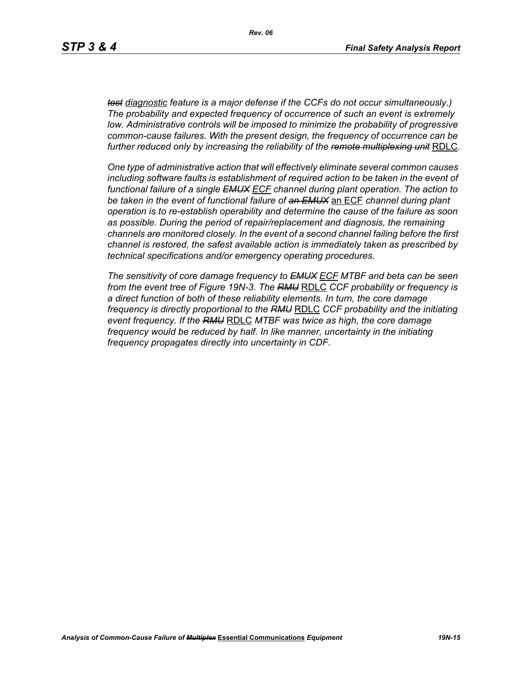*test diagnostic feature is a major defense if the CCFs do not occur simultaneously.) The probability and expected frequency of occurrence of such an event is extremely low. Administrative controls will be imposed to minimize the probability of progressive common-cause failures. With the present design, the frequency of occurrence can be further reduced only by increasing the reliability of the remote multiplexing unit* RDLC*.*

*One type of administrative action that will effectively eliminate several common causes*  including software faults is establishment of required action to be taken in the event of *functional failure of a single EMUX ECF channel during plant operation. The action to be taken in the event of functional failure of an EMUX* an ECF *channel during plant operation is to re-establish operability and determine the cause of the failure as soon as possible. During the period of repair/replacement and diagnosis, the remaining channels are monitored closely. In the event of a second channel failing before the first channel is restored, the safest available action is immediately taken as prescribed by technical specifications and/or emergency operating procedures.* 

*The sensitivity of core damage frequency to EMUX ECF MTBF and beta can be seen from the event tree of Figure 19N-3. The RMU* RDLC *CCF probability or frequency is a direct function of both of these reliability elements. In turn, the core damage frequency is directly proportional to the RMU* RDLC *CCF probability and the initiating event frequency. If the RMU* RDLC *MTBF was twice as high, the core damage frequency would be reduced by half. In like manner, uncertainty in the initiating frequency propagates directly into uncertainty in CDF.*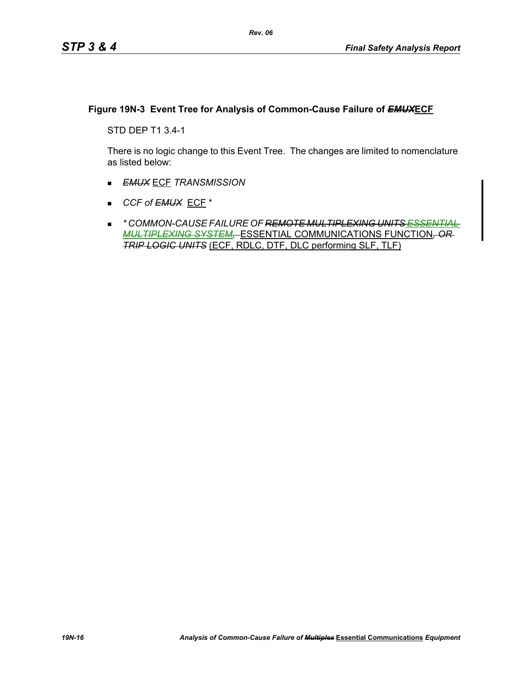### **Figure 19N-3 Event Tree for Analysis of Common-Cause Failure of** *EMUX***ECF**

STD DEP T1 3.4-1

There is no logic change to this Event Tree. The changes are limited to nomenclature as listed below:

- *EMUX* ECF *TRANSMISSION*
- *CCF of EMUX* ECF \*
- *\* COMMON-CAUSE FAILURE OF REMOTE MULTIPLEXING UNITS ESSENTIAL MULTIPLEXING SYSTEM,* ESSENTIAL COMMUNICATIONS FUNCTION*, OR TRIP LOGIC UNITS* (ECF, RDLC, DTF, DLC performing SLF, TLF)